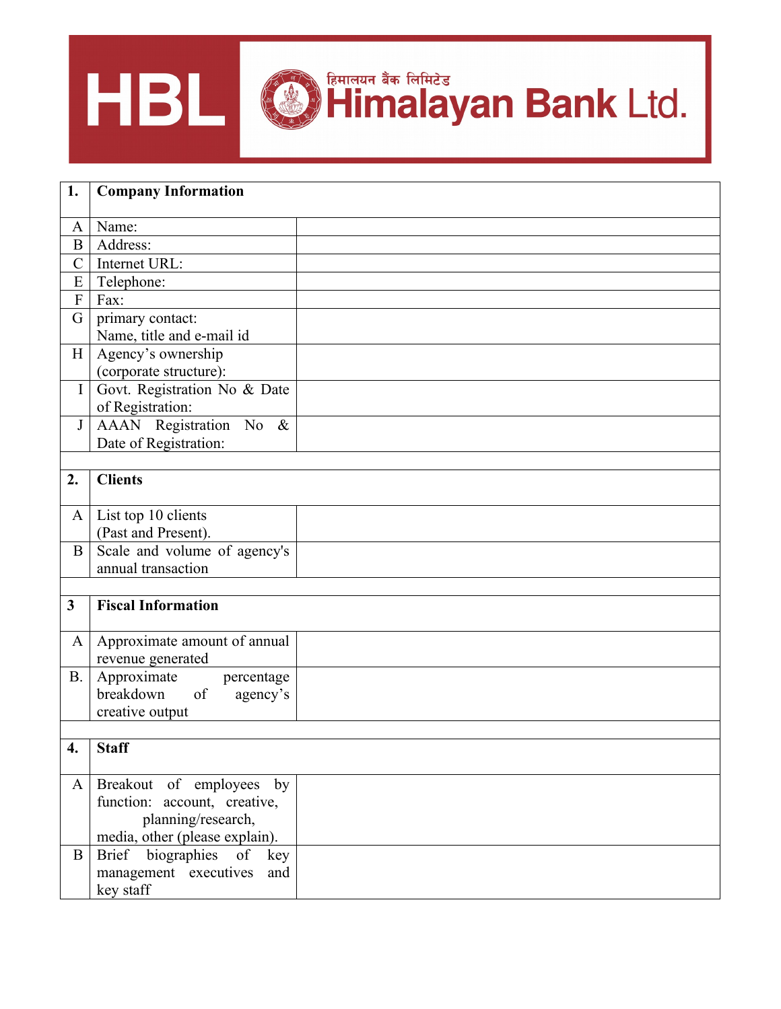

| 1.             | <b>Company Information</b>     |  |  |
|----------------|--------------------------------|--|--|
| A              | Name:                          |  |  |
| $\bf{B}$       | Address:                       |  |  |
| $\overline{C}$ | Internet URL:                  |  |  |
| E              | Telephone:                     |  |  |
| $\mathbf{F}$   | Fax:                           |  |  |
| G              | primary contact:               |  |  |
|                | Name, title and e-mail id      |  |  |
| H              | Agency's ownership             |  |  |
|                | (corporate structure):         |  |  |
| $\mathbf I$    | Govt. Registration No & Date   |  |  |
|                | of Registration:               |  |  |
| $\bf J$        | AAAN Registration No &         |  |  |
|                | Date of Registration:          |  |  |
|                |                                |  |  |
| 2.             | <b>Clients</b>                 |  |  |
|                |                                |  |  |
| $\mathbf{A}$   | List top 10 clients            |  |  |
|                | (Past and Present).            |  |  |
| $\bf{B}$       | Scale and volume of agency's   |  |  |
|                | annual transaction             |  |  |
|                |                                |  |  |
| $\mathbf{3}$   | <b>Fiscal Information</b>      |  |  |
|                |                                |  |  |
| A              | Approximate amount of annual   |  |  |
|                | revenue generated              |  |  |
| <b>B.</b>      | Approximate<br>percentage      |  |  |
|                | breakdown<br>of<br>agency's    |  |  |
|                | creative output                |  |  |
|                | 4.   Staff                     |  |  |
|                |                                |  |  |
| A              | Breakout of employees by       |  |  |
|                | function: account, creative,   |  |  |
|                | planning/research,             |  |  |
|                | media, other (please explain). |  |  |
| $\bf{B}$       | Brief biographies of<br>key    |  |  |
|                | management executives<br>and   |  |  |
|                | key staff                      |  |  |